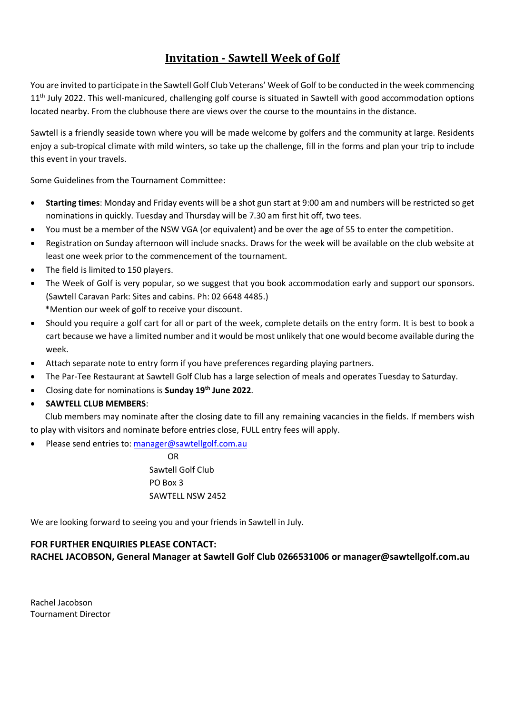## **Invitation - Sawtell Week of Golf**

You are invited to participate in the Sawtell Golf Club Veterans' Week of Golf to be conducted in the week commencing 11<sup>th</sup> July 2022. This well-manicured, challenging golf course is situated in Sawtell with good accommodation options located nearby. From the clubhouse there are views over the course to the mountains in the distance.

Sawtell is a friendly seaside town where you will be made welcome by golfers and the community at large. Residents enjoy a sub-tropical climate with mild winters, so take up the challenge, fill in the forms and plan your trip to include this event in your travels.

Some Guidelines from the Tournament Committee:

- **Starting times**: Monday and Friday events will be a shot gun start at 9:00 am and numbers will be restricted so get nominations in quickly. Tuesday and Thursday will be 7.30 am first hit off, two tees.
- You must be a member of the NSW VGA (or equivalent) and be over the age of 55 to enter the competition.
- Registration on Sunday afternoon will include snacks. Draws for the week will be available on the club website at least one week prior to the commencement of the tournament.
- The field is limited to 150 players.
- The Week of Golf is very popular, so we suggest that you book accommodation early and support our sponsors. (Sawtell Caravan Park: Sites and cabins. Ph: 02 6648 4485.)

\*Mention our week of golf to receive your discount.

- Should you require a golf cart for all or part of the week, complete details on the entry form. It is best to book a cart because we have a limited number and it would be most unlikely that one would become available during the week.
- Attach separate note to entry form if you have preferences regarding playing partners.
- The Par-Tee Restaurant at Sawtell Golf Club has a large selection of meals and operates Tuesday to Saturday.
- Closing date for nominations is **Sunday 19th June 2022**.

#### • **SAWTELL CLUB MEMBERS**:

 Club members may nominate after the closing date to fill any remaining vacancies in the fields. If members wish to play with visitors and nominate before entries close, FULL entry fees will apply.

Please send entries to[: manager@sawtellgolf.com.au](mailto:manager@sawtellgolf.com.au)

**OR** Service Service Service Service Service Service Service Service Service Service Service Service Service Service Service Service Service Service Service Service Service Service Service Service Service Service Service S Sawtell Golf Club PO Box 3 SAWTELL NSW 2452

We are looking forward to seeing you and your friends in Sawtell in July.

### **FOR FURTHER ENQUIRIES PLEASE CONTACT: RACHEL JACOBSON, General Manager at Sawtell Golf Club 0266531006 or manager@sawtellgolf.com.au**

Rachel Jacobson Tournament Director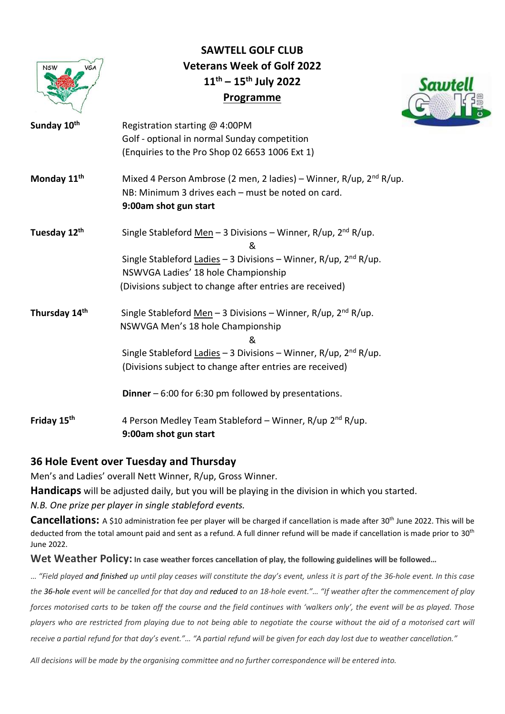

# **SAWTELL GOLF CLUB Veterans Week of Golf 2022 11 th – 15 th July 2022 Programme**



| Sunday 10 <sup>th</sup> | Registration starting @ 4:00PM                                                                                                                                |
|-------------------------|---------------------------------------------------------------------------------------------------------------------------------------------------------------|
|                         | Golf - optional in normal Sunday competition                                                                                                                  |
|                         | (Enquiries to the Pro Shop 02 6653 1006 Ext 1)                                                                                                                |
| Monday 11 <sup>th</sup> | Mixed 4 Person Ambrose (2 men, 2 ladies) – Winner, R/up, 2 <sup>nd</sup> R/up.<br>NB: Minimum 3 drives each - must be noted on card.<br>9:00am shot gun start |
| Tuesday 12th            | Single Stableford Men - 3 Divisions - Winner, R/up, 2 <sup>nd</sup> R/up.<br>&                                                                                |
|                         | Single Stableford Ladies – 3 Divisions – Winner, R/up, $2nd$ R/up.<br>NSWVGA Ladies' 18 hole Championship                                                     |
|                         | (Divisions subject to change after entries are received)                                                                                                      |
| Thursday 14th           | Single Stableford Men - 3 Divisions - Winner, R/up, $2nd$ R/up.<br>NSWVGA Men's 18 hole Championship<br>&                                                     |
|                         | Single Stableford Ladies - 3 Divisions - Winner, R/up, 2 <sup>nd</sup> R/up.                                                                                  |
|                         | (Divisions subject to change after entries are received)                                                                                                      |
|                         | <b>Dinner</b> $-6:00$ for 6:30 pm followed by presentations.                                                                                                  |
| Friday 15 <sup>th</sup> | 4 Person Medley Team Stableford - Winner, R/up 2 <sup>nd</sup> R/up.<br>9:00am shot gun start                                                                 |

### **36 Hole Event over Tuesday and Thursday**

Men's and Ladies' overall Nett Winner, R/up, Gross Winner.

**Handicaps** will be adjusted daily, but you will be playing in the division in which you started.

*N.B. One prize per player in single stableford events.*

Cancellations: A \$10 administration fee per player will be charged if cancellation is made after 30<sup>th</sup> June 2022. This will be deducted from the total amount paid and sent as a refund. A full dinner refund will be made if cancellation is made prior to 30<sup>th</sup> June 2022.

**Wet Weather Policy: In case weather forces cancellation of play, the following guidelines will be followed…**

… *"Field played and finished up until play ceases will constitute the day's event, unless it is part of the 36-hole event. In this case the 36-hole event will be cancelled for that day and reduced to an 18-hole event."… "If weather after the commencement of play forces motorised carts to be taken off the course and the field continues with 'walkers only', the event will be as played. Those players who are restricted from playing due to not being able to negotiate the course without the aid of a motorised cart will receive a partial refund for that day's event."… "A partial refund will be given for each day lost due to weather cancellation."*

*All decisions will be made by the organising committee and no further correspondence will be entered into.*